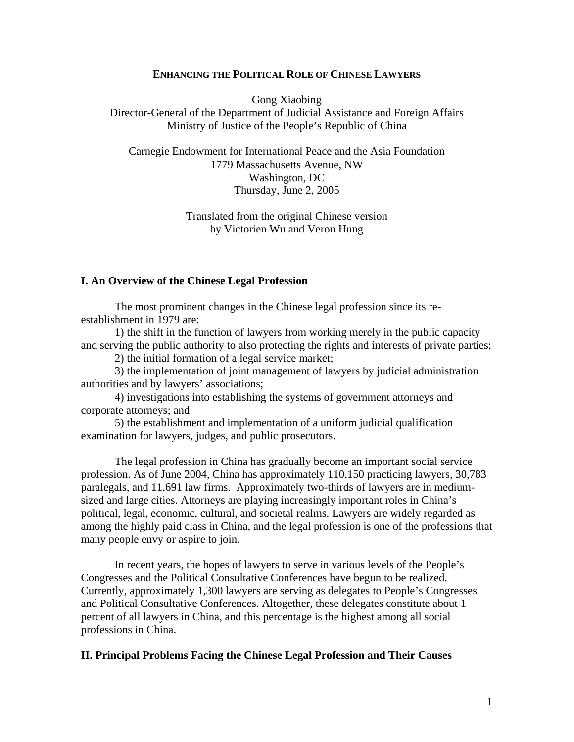#### **ENHANCING THE POLITICAL ROLE OF CHINESE LAWYERS**

Gong Xiaobing Director-General of the Department of Judicial Assistance and Foreign Affairs Ministry of Justice of the People's Republic of China

Carnegie Endowment for International Peace and the Asia Foundation 1779 Massachusetts Avenue, NW Washington, DC Thursday, June 2, 2005

> Translated from the original Chinese version by Victorien Wu and Veron Hung

## **I. An Overview of the Chinese Legal Profession**

The most prominent changes in the Chinese legal profession since its reestablishment in 1979 are:

1) the shift in the function of lawyers from working merely in the public capacity and serving the public authority to also protecting the rights and interests of private parties;

2) the initial formation of a legal service market;

3) the implementation of joint management of lawyers by judicial administration authorities and by lawyers' associations;

4) investigations into establishing the systems of government attorneys and corporate attorneys; and

5) the establishment and implementation of a uniform judicial qualification examination for lawyers, judges, and public prosecutors.

The legal profession in China has gradually become an important social service profession. As of June 2004, China has approximately 110,150 practicing lawyers, 30,783 paralegals, and 11,691 law firms. Approximately two-thirds of lawyers are in mediumsized and large cities. Attorneys are playing increasingly important roles in China's political, legal, economic, cultural, and societal realms. Lawyers are widely regarded as among the highly paid class in China, and the legal profession is one of the professions that many people envy or aspire to join.

In recent years, the hopes of lawyers to serve in various levels of the People's Congresses and the Political Consultative Conferences have begun to be realized. Currently, approximately 1,300 lawyers are serving as delegates to People's Congresses and Political Consultative Conferences. Altogether, these delegates constitute about 1 percent of all lawyers in China, and this percentage is the highest among all social professions in China.

#### **II. Principal Problems Facing the Chinese Legal Profession and Their Causes**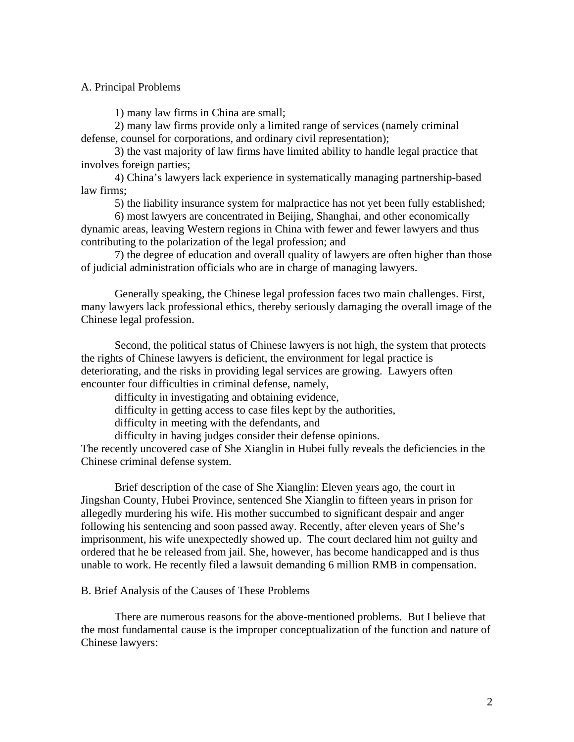## A. Principal Problems

1) many law firms in China are small;

2) many law firms provide only a limited range of services (namely criminal defense, counsel for corporations, and ordinary civil representation);

3) the vast majority of law firms have limited ability to handle legal practice that involves foreign parties;

4) China's lawyers lack experience in systematically managing partnership-based law firms;

5) the liability insurance system for malpractice has not yet been fully established;

6) most lawyers are concentrated in Beijing, Shanghai, and other economically dynamic areas, leaving Western regions in China with fewer and fewer lawyers and thus contributing to the polarization of the legal profession; and

7) the degree of education and overall quality of lawyers are often higher than those of judicial administration officials who are in charge of managing lawyers.

Generally speaking, the Chinese legal profession faces two main challenges. First, many lawyers lack professional ethics, thereby seriously damaging the overall image of the Chinese legal profession.

Second, the political status of Chinese lawyers is not high, the system that protects the rights of Chinese lawyers is deficient, the environment for legal practice is deteriorating, and the risks in providing legal services are growing. Lawyers often encounter four difficulties in criminal defense, namely,

difficulty in investigating and obtaining evidence,

difficulty in getting access to case files kept by the authorities,

difficulty in meeting with the defendants, and

difficulty in having judges consider their defense opinions.

The recently uncovered case of She Xianglin in Hubei fully reveals the deficiencies in the Chinese criminal defense system.

Brief description of the case of She Xianglin: Eleven years ago, the court in Jingshan County, Hubei Province, sentenced She Xianglin to fifteen years in prison for allegedly murdering his wife. His mother succumbed to significant despair and anger following his sentencing and soon passed away. Recently, after eleven years of She's imprisonment, his wife unexpectedly showed up. The court declared him not guilty and ordered that he be released from jail. She, however, has become handicapped and is thus unable to work. He recently filed a lawsuit demanding 6 million RMB in compensation.

B. Brief Analysis of the Causes of These Problems

There are numerous reasons for the above-mentioned problems. But I believe that the most fundamental cause is the improper conceptualization of the function and nature of Chinese lawyers: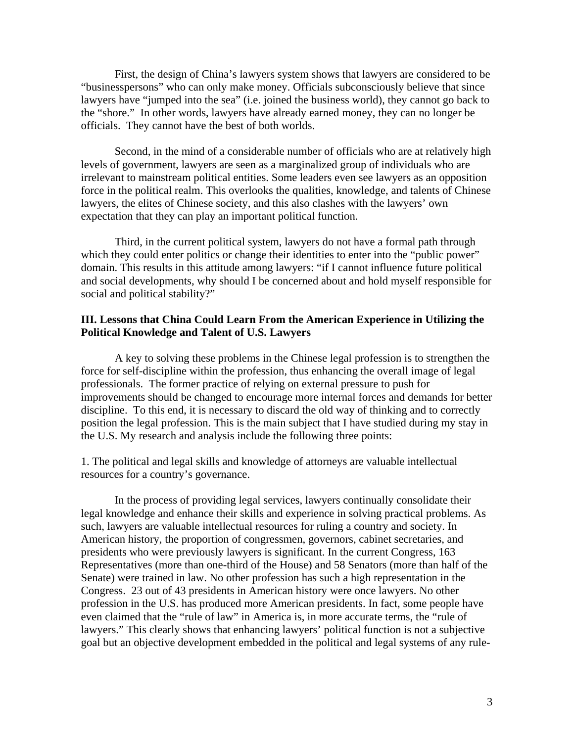First, the design of China's lawyers system shows that lawyers are considered to be "businesspersons" who can only make money. Officials subconsciously believe that since lawyers have "jumped into the sea" (i.e. joined the business world), they cannot go back to the "shore." In other words, lawyers have already earned money, they can no longer be officials. They cannot have the best of both worlds.

Second, in the mind of a considerable number of officials who are at relatively high levels of government, lawyers are seen as a marginalized group of individuals who are irrelevant to mainstream political entities. Some leaders even see lawyers as an opposition force in the political realm. This overlooks the qualities, knowledge, and talents of Chinese lawyers, the elites of Chinese society, and this also clashes with the lawyers' own expectation that they can play an important political function.

Third, in the current political system, lawyers do not have a formal path through which they could enter politics or change their identities to enter into the "public power" domain. This results in this attitude among lawyers: "if I cannot influence future political and social developments, why should I be concerned about and hold myself responsible for social and political stability?"

# **III. Lessons that China Could Learn From the American Experience in Utilizing the Political Knowledge and Talent of U.S. Lawyers**

A key to solving these problems in the Chinese legal profession is to strengthen the force for self-discipline within the profession, thus enhancing the overall image of legal professionals. The former practice of relying on external pressure to push for improvements should be changed to encourage more internal forces and demands for better discipline. To this end, it is necessary to discard the old way of thinking and to correctly position the legal profession. This is the main subject that I have studied during my stay in the U.S. My research and analysis include the following three points:

1. The political and legal skills and knowledge of attorneys are valuable intellectual resources for a country's governance.

In the process of providing legal services, lawyers continually consolidate their legal knowledge and enhance their skills and experience in solving practical problems. As such, lawyers are valuable intellectual resources for ruling a country and society. In American history, the proportion of congressmen, governors, cabinet secretaries, and presidents who were previously lawyers is significant. In the current Congress, 163 Representatives (more than one-third of the House) and 58 Senators (more than half of the Senate) were trained in law. No other profession has such a high representation in the Congress. 23 out of 43 presidents in American history were once lawyers. No other profession in the U.S. has produced more American presidents. In fact, some people have even claimed that the "rule of law" in America is, in more accurate terms, the "rule of lawyers." This clearly shows that enhancing lawyers' political function is not a subjective goal but an objective development embedded in the political and legal systems of any rule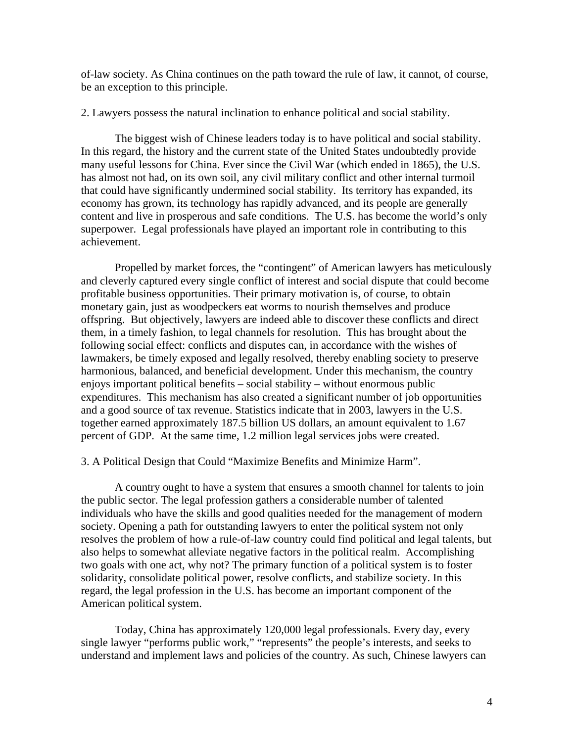of-law society. As China continues on the path toward the rule of law, it cannot, of course, be an exception to this principle.

2. Lawyers possess the natural inclination to enhance political and social stability.

The biggest wish of Chinese leaders today is to have political and social stability. In this regard, the history and the current state of the United States undoubtedly provide many useful lessons for China. Ever since the Civil War (which ended in 1865), the U.S. has almost not had, on its own soil, any civil military conflict and other internal turmoil that could have significantly undermined social stability. Its territory has expanded, its economy has grown, its technology has rapidly advanced, and its people are generally content and live in prosperous and safe conditions. The U.S. has become the world's only superpower. Legal professionals have played an important role in contributing to this achievement.

Propelled by market forces, the "contingent" of American lawyers has meticulously and cleverly captured every single conflict of interest and social dispute that could become profitable business opportunities. Their primary motivation is, of course, to obtain monetary gain, just as woodpeckers eat worms to nourish themselves and produce offspring. But objectively, lawyers are indeed able to discover these conflicts and direct them, in a timely fashion, to legal channels for resolution. This has brought about the following social effect: conflicts and disputes can, in accordance with the wishes of lawmakers, be timely exposed and legally resolved, thereby enabling society to preserve harmonious, balanced, and beneficial development. Under this mechanism, the country enjoys important political benefits – social stability – without enormous public expenditures. This mechanism has also created a significant number of job opportunities and a good source of tax revenue. Statistics indicate that in 2003, lawyers in the U.S. together earned approximately 187.5 billion US dollars, an amount equivalent to 1.67 percent of GDP. At the same time, 1.2 million legal services jobs were created.

3. A Political Design that Could "Maximize Benefits and Minimize Harm".

A country ought to have a system that ensures a smooth channel for talents to join the public sector. The legal profession gathers a considerable number of talented individuals who have the skills and good qualities needed for the management of modern society. Opening a path for outstanding lawyers to enter the political system not only resolves the problem of how a rule-of-law country could find political and legal talents, but also helps to somewhat alleviate negative factors in the political realm. Accomplishing two goals with one act, why not? The primary function of a political system is to foster solidarity, consolidate political power, resolve conflicts, and stabilize society. In this regard, the legal profession in the U.S. has become an important component of the American political system.

Today, China has approximately 120,000 legal professionals. Every day, every single lawyer "performs public work," "represents" the people's interests, and seeks to understand and implement laws and policies of the country. As such, Chinese lawyers can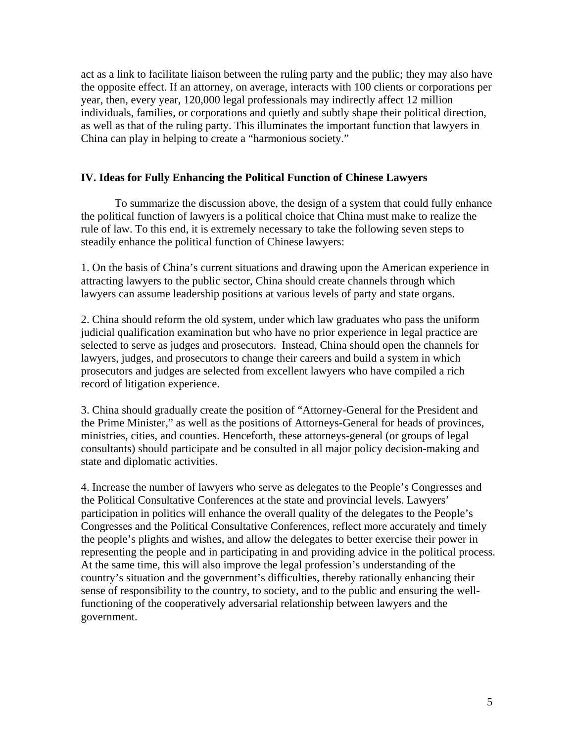act as a link to facilitate liaison between the ruling party and the public; they may also have the opposite effect. If an attorney, on average, interacts with 100 clients or corporations per year, then, every year, 120,000 legal professionals may indirectly affect 12 million individuals, families, or corporations and quietly and subtly shape their political direction, as well as that of the ruling party. This illuminates the important function that lawyers in China can play in helping to create a "harmonious society."

## **IV. Ideas for Fully Enhancing the Political Function of Chinese Lawyers**

To summarize the discussion above, the design of a system that could fully enhance the political function of lawyers is a political choice that China must make to realize the rule of law. To this end, it is extremely necessary to take the following seven steps to steadily enhance the political function of Chinese lawyers:

1. On the basis of China's current situations and drawing upon the American experience in attracting lawyers to the public sector, China should create channels through which lawyers can assume leadership positions at various levels of party and state organs.

2. China should reform the old system, under which law graduates who pass the uniform judicial qualification examination but who have no prior experience in legal practice are selected to serve as judges and prosecutors. Instead, China should open the channels for lawyers, judges, and prosecutors to change their careers and build a system in which prosecutors and judges are selected from excellent lawyers who have compiled a rich record of litigation experience.

3. China should gradually create the position of "Attorney-General for the President and the Prime Minister," as well as the positions of Attorneys-General for heads of provinces, ministries, cities, and counties. Henceforth, these attorneys-general (or groups of legal consultants) should participate and be consulted in all major policy decision-making and state and diplomatic activities.

4. Increase the number of lawyers who serve as delegates to the People's Congresses and the Political Consultative Conferences at the state and provincial levels. Lawyers' participation in politics will enhance the overall quality of the delegates to the People's Congresses and the Political Consultative Conferences, reflect more accurately and timely the people's plights and wishes, and allow the delegates to better exercise their power in representing the people and in participating in and providing advice in the political process. At the same time, this will also improve the legal profession's understanding of the country's situation and the government's difficulties, thereby rationally enhancing their sense of responsibility to the country, to society, and to the public and ensuring the wellfunctioning of the cooperatively adversarial relationship between lawyers and the government.